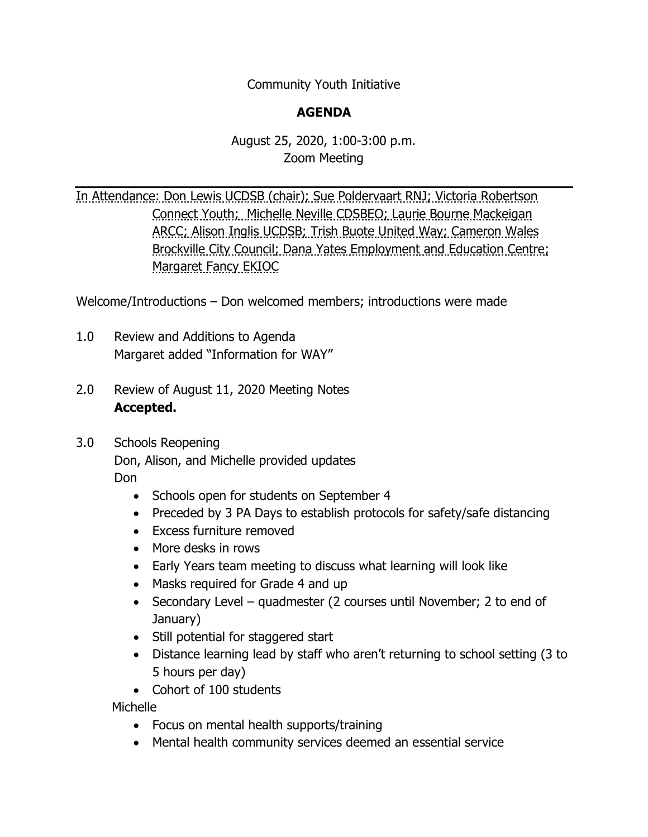Community Youth Initiative

## **AGENDA**

## August 25, 2020, 1:00-3:00 p.m. Zoom Meeting

In Attendance: Don Lewis UCDSB (chair); Sue Poldervaart RNJ; Victoria Robertson Connect Youth; Michelle Neville CDSBEO; Laurie Bourne Mackeigan ARCC; Alison Inglis UCDSB; Trish Buote United Way; Cameron Wales Brockville City Council; Dana Yates Employment and Education Centre; Margaret Fancy EKIOC

Welcome/Introductions – Don welcomed members; introductions were made

- 1.0 Review and Additions to Agenda Margaret added "Information for WAY"
- 2.0 Review of August 11, 2020 Meeting Notes **Accepted.**
- 3.0 Schools Reopening

Don, Alison, and Michelle provided updates

Don

- Schools open for students on September 4
- Preceded by 3 PA Days to establish protocols for safety/safe distancing
- Excess furniture removed
- More desks in rows
- Early Years team meeting to discuss what learning will look like
- Masks required for Grade 4 and up
- Secondary Level quadmester (2 courses until November; 2 to end of January)
- Still potential for staggered start
- Distance learning lead by staff who aren't returning to school setting (3 to 5 hours per day)
- Cohort of 100 students

Michelle

- Focus on mental health supports/training
- Mental health community services deemed an essential service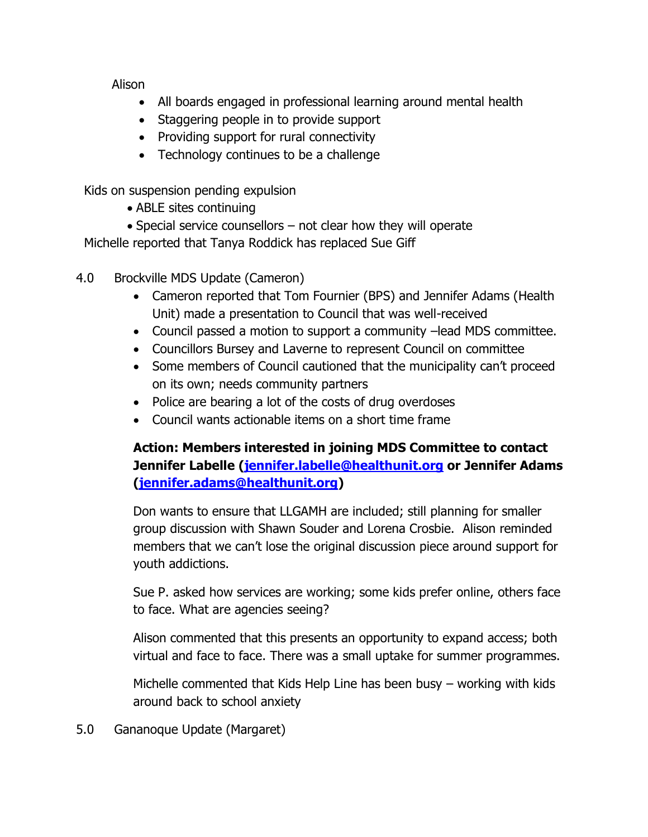Alison

- All boards engaged in professional learning around mental health
- Staggering people in to provide support
- Providing support for rural connectivity
- Technology continues to be a challenge

Kids on suspension pending expulsion

- ABLE sites continuing
- Special service counsellors not clear how they will operate

Michelle reported that Tanya Roddick has replaced Sue Giff

- 4.0 Brockville MDS Update (Cameron)
	- Cameron reported that Tom Fournier (BPS) and Jennifer Adams (Health Unit) made a presentation to Council that was well-received
	- Council passed a motion to support a community –lead MDS committee.
	- Councillors Bursey and Laverne to represent Council on committee
	- Some members of Council cautioned that the municipality can't proceed on its own; needs community partners
	- Police are bearing a lot of the costs of drug overdoses
	- Council wants actionable items on a short time frame

## **Action: Members interested in joining MDS Committee to contact Jennifer Labelle [\(jennifer.labelle@healthunit.org](mailto:jennifer.labelle@healthunit.org) or Jennifer Adams [\(jennifer.adams@healthunit.org\)](mailto:jennifer.adams@healthunit.org)**

Don wants to ensure that LLGAMH are included; still planning for smaller group discussion with Shawn Souder and Lorena Crosbie. Alison reminded members that we can't lose the original discussion piece around support for youth addictions.

Sue P. asked how services are working; some kids prefer online, others face to face. What are agencies seeing?

Alison commented that this presents an opportunity to expand access; both virtual and face to face. There was a small uptake for summer programmes.

Michelle commented that Kids Help Line has been busy – working with kids around back to school anxiety

5.0 Gananoque Update (Margaret)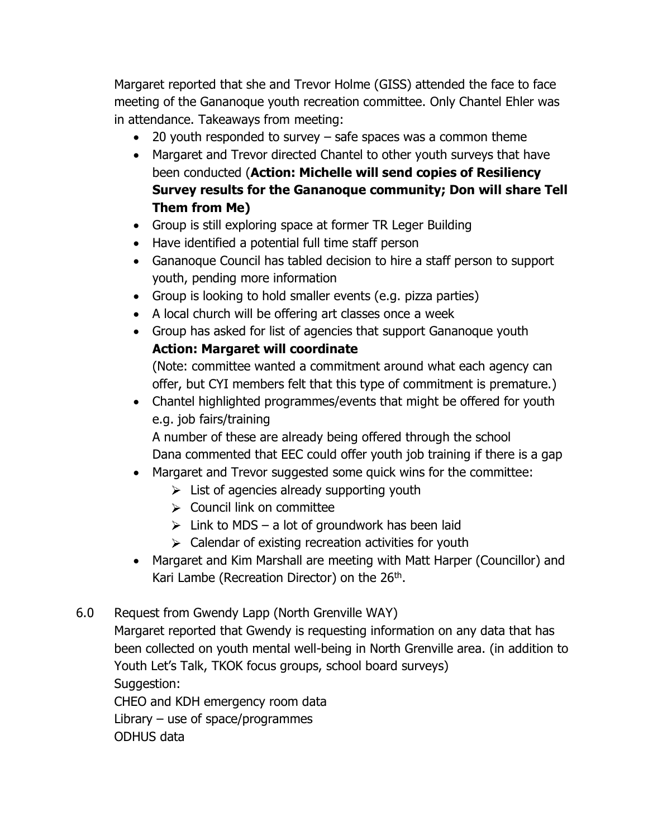Margaret reported that she and Trevor Holme (GISS) attended the face to face meeting of the Gananoque youth recreation committee. Only Chantel Ehler was in attendance. Takeaways from meeting:

- 20 youth responded to survey safe spaces was a common theme
- Margaret and Trevor directed Chantel to other youth surveys that have been conducted (**Action: Michelle will send copies of Resiliency Survey results for the Gananoque community; Don will share Tell Them from Me)**
- Group is still exploring space at former TR Leger Building
- Have identified a potential full time staff person
- Gananoque Council has tabled decision to hire a staff person to support youth, pending more information
- Group is looking to hold smaller events (e.g. pizza parties)
- A local church will be offering art classes once a week
- Group has asked for list of agencies that support Gananoque youth

## **Action: Margaret will coordinate**

(Note: committee wanted a commitment around what each agency can offer, but CYI members felt that this type of commitment is premature.)

• Chantel highlighted programmes/events that might be offered for youth e.g. job fairs/training

A number of these are already being offered through the school Dana commented that EEC could offer youth job training if there is a gap

- Margaret and Trevor suggested some quick wins for the committee:
	- $\triangleright$  List of agencies already supporting youth
	- $\geq$  Council link on committee
	- $\triangleright$  Link to MDS a lot of groundwork has been laid
	- $\triangleright$  Calendar of existing recreation activities for youth
- Margaret and Kim Marshall are meeting with Matt Harper (Councillor) and Kari Lambe (Recreation Director) on the 26<sup>th</sup>.
- 6.0 Request from Gwendy Lapp (North Grenville WAY)

Margaret reported that Gwendy is requesting information on any data that has been collected on youth mental well-being in North Grenville area. (in addition to Youth Let's Talk, TKOK focus groups, school board surveys) Suggestion:

CHEO and KDH emergency room data Library  $-$  use of space/programmes ODHUS data